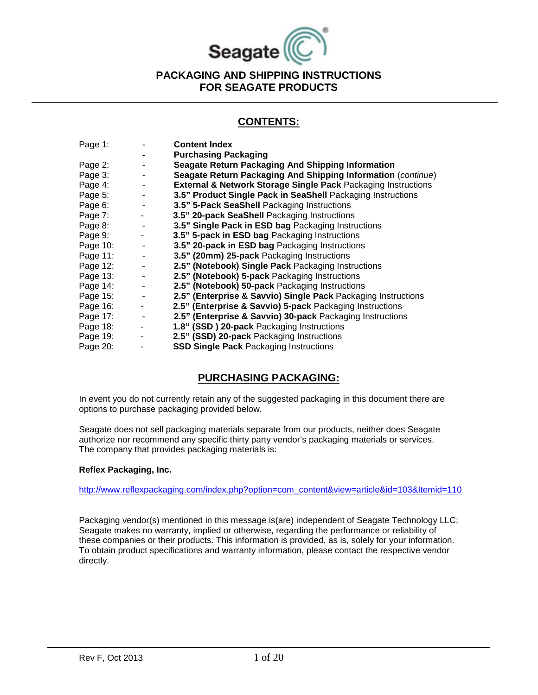

#### **CONTENTS:**

| Page 1:  |                | <b>Content Index</b>                                                     |
|----------|----------------|--------------------------------------------------------------------------|
|          |                | <b>Purchasing Packaging</b>                                              |
| Page 2:  |                | <b>Seagate Return Packaging And Shipping Information</b>                 |
| Page 3:  | ٠              | Seagate Return Packaging And Shipping Information (continue)             |
| Page 4:  |                | <b>External &amp; Network Storage Single Pack Packaging Instructions</b> |
| Page 5:  |                | 3.5" Product Single Pack in SeaShell Packaging Instructions              |
| Page 6:  |                | 3.5" 5-Pack SeaShell Packaging Instructions                              |
| Page 7:  | $\sim$         | 3.5" 20-pack SeaShell Packaging Instructions                             |
| Page 8:  | $\blacksquare$ | 3.5" Single Pack in ESD bag Packaging Instructions                       |
| Page 9:  | ۰              | 3.5" 5-pack in ESD bag Packaging Instructions                            |
| Page 10: |                | 3.5" 20-pack in ESD bag Packaging Instructions                           |
| Page 11: |                | 3.5" (20mm) 25-pack Packaging Instructions                               |
| Page 12: | $\blacksquare$ | 2.5" (Notebook) Single Pack Packaging Instructions                       |
| Page 13: | $\blacksquare$ | 2.5" (Notebook) 5-pack Packaging Instructions                            |
| Page 14: |                | 2.5" (Notebook) 50-pack Packaging Instructions                           |
| Page 15: |                | 2.5" (Enterprise & Savvio) Single Pack Packaging Instructions            |
| Page 16: |                | 2.5" (Enterprise & Savvio) 5-pack Packaging Instructions                 |
| Page 17: | $\sim$ $-$     | 2.5" (Enterprise & Savvio) 30-pack Packaging Instructions                |
| Page 18: | $\blacksquare$ | 1.8" (SSD) 20-pack Packaging Instructions                                |
| Page 19: | $\blacksquare$ | 2.5" (SSD) 20-pack Packaging Instructions                                |
| Page 20: |                | <b>SSD Single Pack Packaging Instructions</b>                            |

# **PURCHASING PACKAGING:**

In event you do not currently retain any of the suggested packaging in this document there are options to purchase packaging provided below.

Seagate does not sell packaging materials separate from our products, neither does Seagate authorize nor recommend any specific thirty party vendor's packaging materials or services. The company that provides packaging materials is:

#### **Reflex Packaging, Inc.**

[http://www.reflexpackaging.com/index.php?option=com\\_content&view=article&id=103&Itemid=110](http://www.reflexpackaging.com/index.php?option=com_content&view=article&id=103&Itemid=110)

Packaging vendor(s) mentioned in this message is(are) independent of Seagate Technology LLC; Seagate makes no warranty, implied or otherwise, regarding the performance or reliability of these companies or their products. This information is provided, as is, solely for your information. To obtain product specifications and warranty information, please contact the respective vendor directly.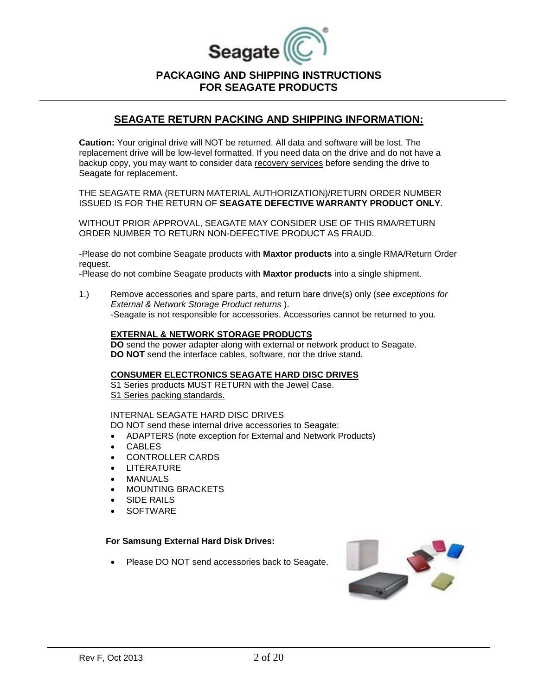

#### **SEAGATE RETURN PACKING AND SHIPPING INFORMATION:**

**Caution:** Your original drive will NOT be returned. All data and software will be lost. The replacement drive will be low-level formatted. If you need data on the drive and do not have a backup copy, you may want to consider data recovery services before sending the drive to Seagate for replacement.

THE SEAGATE RMA (RETURN MATERIAL AUTHORIZATION)/RETURN ORDER NUMBER ISSUED IS FOR THE RETURN OF **SEAGATE DEFECTIVE WARRANTY PRODUCT ONLY**.

WITHOUT PRIOR APPROVAL, SEAGATE MAY CONSIDER USE OF THIS RMA/RETURN ORDER NUMBER TO RETURN NON-DEFECTIVE PRODUCT AS FRAUD.

-Please do not combine Seagate products with **Maxtor products** into a single RMA/Return Order request.

-Please do not combine Seagate products with **Maxtor products** into a single shipment.

1.) Remove accessories and spare parts, and return bare drive(s) only (*see exceptions for External & Network Storage Product returns* ). -Seagate is not responsible for accessories. Accessories cannot be returned to you.

#### **EXTERNAL & NETWORK STORAGE PRODUCTS**

**DO** send the power adapter along with external or network product to Seagate. **DO NOT** send the interface cables, software, nor the drive stand.

#### **CONSUMER ELECTRONICS SEAGATE HARD DISC DRIVES**

S1 Series products MUST RETURN with the Jewel Case. S1 Series packing standards.

#### INTERNAL SEAGATE HARD DISC DRIVES

DO NOT send these internal drive accessories to Seagate:

- ADAPTERS (note exception for External and Network Products)
- CABLES
- CONTROLLER CARDS
- LITERATURE
- **MANUALS**
- MOUNTING BRACKETS
- SIDE RAILS
- **SOFTWARE**

#### **For Samsung External Hard Disk Drives:**

Please DO NOT send accessories back to Seagate.

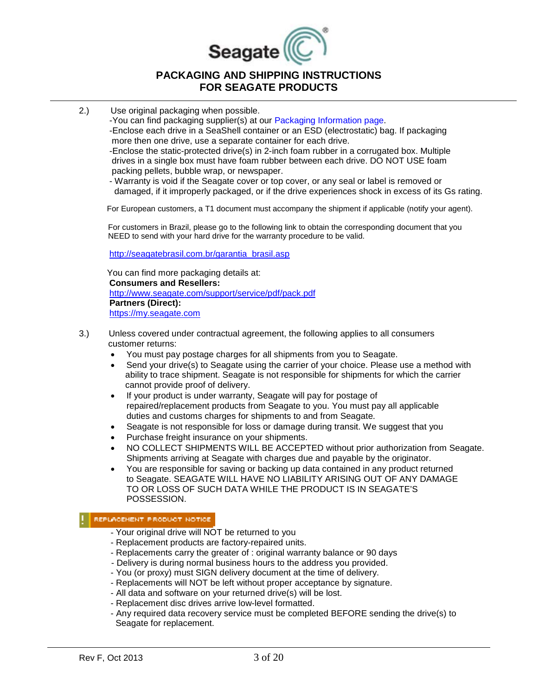

2.) Use original packaging when possible.

-You can find packaging supplier(s) at our Packaging Information page. -Enclose each drive in a SeaShell container or an ESD (electrostatic) bag. If packaging more then one drive, use a separate container for each drive. -Enclose the static-protected drive(s) in 2-inch foam rubber in a corrugated box. Multiple drives in a single box must have foam rubber between each drive. DO NOT USE foam packing pellets, bubble wrap, or newspaper.

 - Warranty is void if the Seagate cover or top cover, or any seal or label is removed or damaged, if it improperly packaged, or if the drive experiences shock in excess of its Gs rating.

For European customers, a T1 document must accompany the shipment if applicable (notify your agent).

 For customers in Brazil, please go to the following link to obtain the corresponding document that you NEED to send with your hard drive for the warranty procedure to be valid.

[http://seagatebrasil.com.br/garantia\\_brasil.asp](http://seagatebrasil.com.br/garantia_brasil.asp)

 You can find more packaging details at: **Consumers and Resellers:** <http://www.seagate.com/support/service/pdf/pack.pdf> **Partners (Direct):** [https://my.seagate.com](https://my.seagate.com/)

- 3.) Unless covered under contractual agreement, the following applies to all consumers customer returns:
	- You must pay postage charges for all shipments from you to Seagate.
	- Send your drive(s) to Seagate using the carrier of your choice. Please use a method with ability to trace shipment. Seagate is not responsible for shipments for which the carrier cannot provide proof of delivery.
	- If your product is under warranty, Seagate will pay for postage of repaired/replacement products from Seagate to you. You must pay all applicable duties and customs charges for shipments to and from Seagate.
	- Seagate is not responsible for loss or damage during transit. We suggest that you
	- Purchase freight insurance on your shipments.
	- NO COLLECT SHIPMENTS WILL BE ACCEPTED without prior authorization from Seagate. Shipments arriving at Seagate with charges due and payable by the originator.
	- You are responsible for saving or backing up data contained in any product returned to Seagate. SEAGATE WILL HAVE NO LIABILITY ARISING OUT OF ANY DAMAGE TO OR LOSS OF SUCH DATA WHILE THE PRODUCT IS IN SEAGATE'S POSSESSION.

#### REPLACEMENT PRODUCT NOTICE

- Your original drive will NOT be returned to you
- Replacement products are factory-repaired units.
- Replacements carry the greater of : original warranty balance or 90 days
- Delivery is during normal business hours to the address you provided.
- You (or proxy) must SIGN delivery document at the time of delivery.
- Replacements will NOT be left without proper acceptance by signature.
- All data and software on your returned drive(s) will be lost.
- Replacement disc drives arrive low-level formatted.
- Any required data recovery service must be completed BEFORE sending the drive(s) to Seagate for replacement.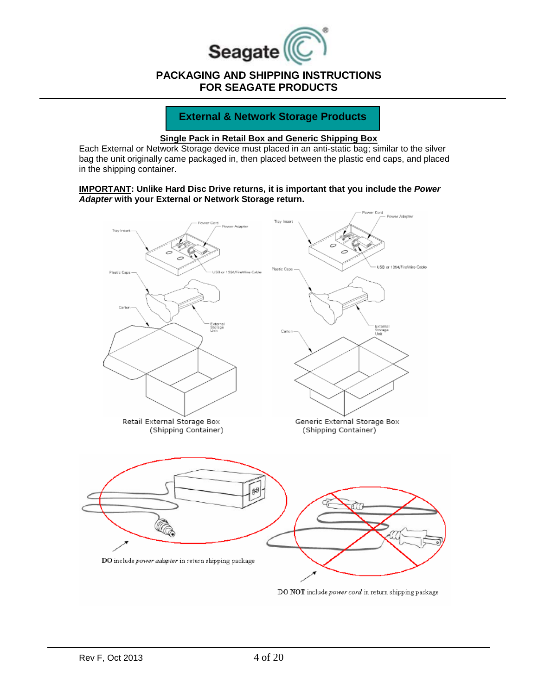

#### **External & Network Storage Products**

#### **Single Pack in Retail Box and Generic Shipping Box**

Each External or Network Storage device must placed in an anti-static bag; similar to the silver bag the unit originally came packaged in, then placed between the plastic end caps, and placed in the shipping container.

#### **IMPORTANT: Unlike Hard Disc Drive returns, it is important that you include the** *Power Adapter* **with your External or Network Storage return.**

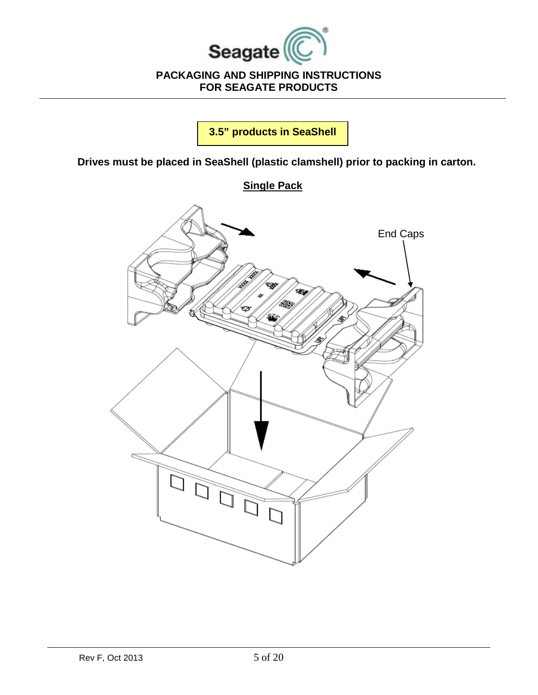

**3.5" products in SeaShell**

**Drives must be placed in SeaShell (plastic clamshell) prior to packing in carton.**

# **Single Pack**

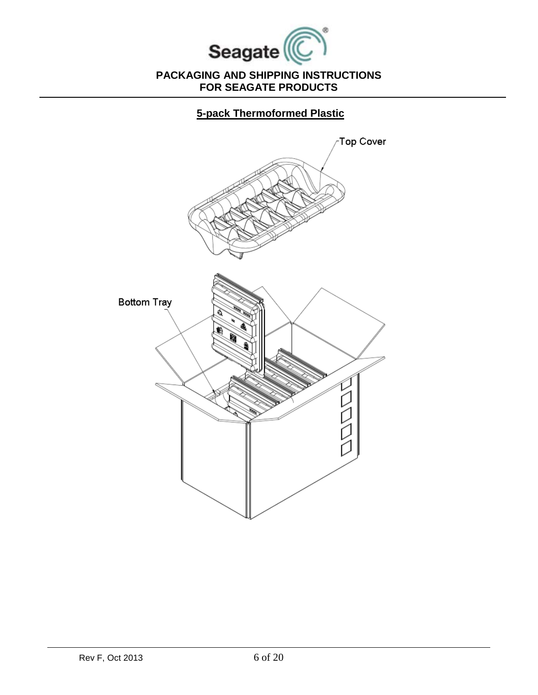

**5-pack Thermoformed Plastic**

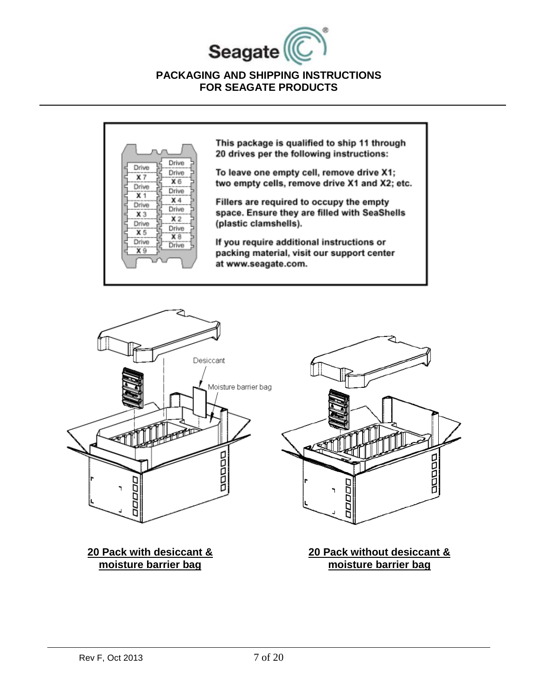



This package is qualified to ship 11 through 20 drives per the following instructions:

To leave one empty cell, remove drive X1; two empty cells, remove drive X1 and X2; etc.

Fillers are required to occupy the empty space. Ensure they are filled with SeaShells (plastic clamshells).

If you require additional instructions or packing material, visit our support center at www.seagate.com.



ų 모모모모 ₫ ĨД ğ

**20 Pack with desiccant & moisture barrier bag**

**20 Pack without desiccant & moisture barrier bag**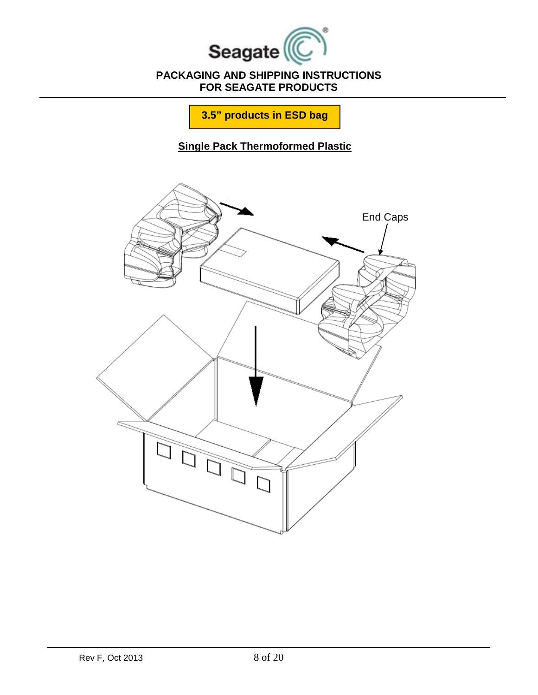

**3.5" products in ESD bag**

**Single Pack Thermoformed Plastic**

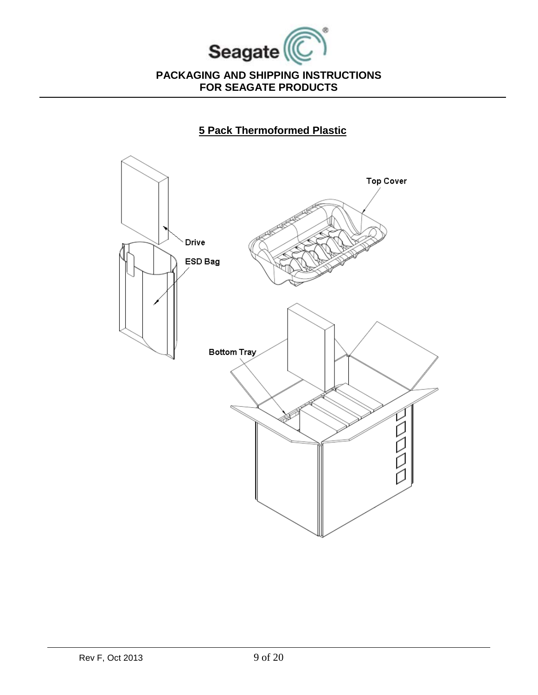

# **5 Pack Thermoformed Plastic**

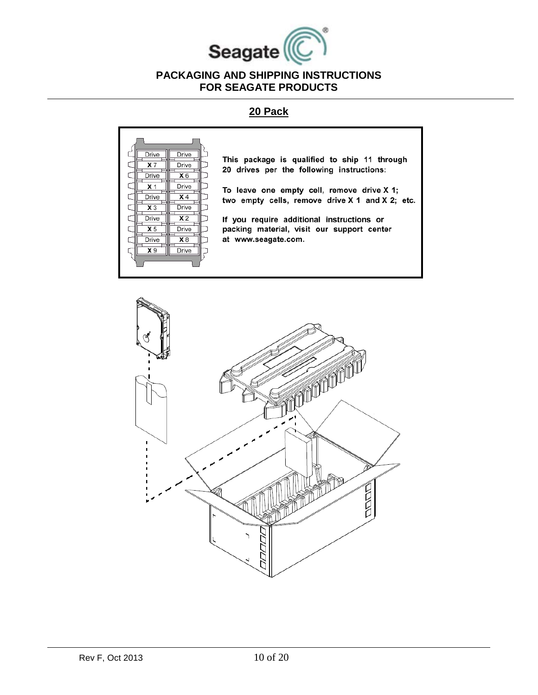

## **20 Pack**



This package is qualified to ship 11 through 20 drives per the following instructions:

To leave one empty cell, remove drive X 1; two empty cells, remove drive X 1 and X 2; etc.

If you require additional instructions or packing material, visit our support center at www.seagate.com.

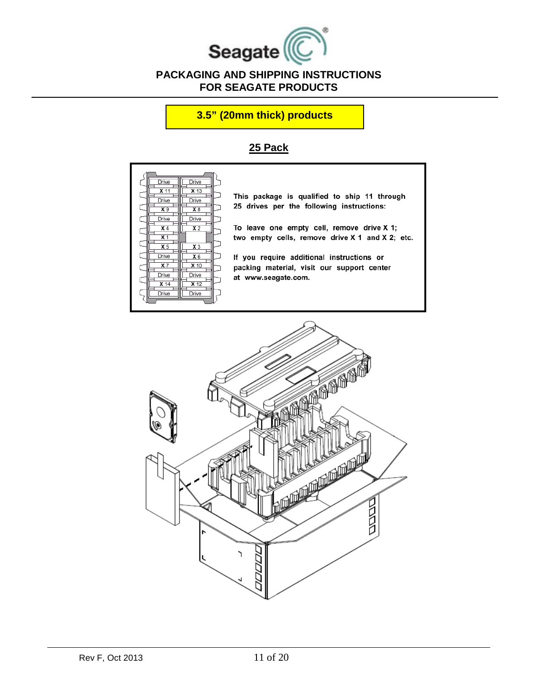

### **3.5" (20mm thick) products**

# **25 Pack**



This package is qualified to ship 11 through 25 drives per the following instructions:

To leave one empty cell, remove drive X 1; two empty cells, remove drive X 1 and X 2; etc.

If you require additional instructions or packing material, visit our support center at www.seagate.com.

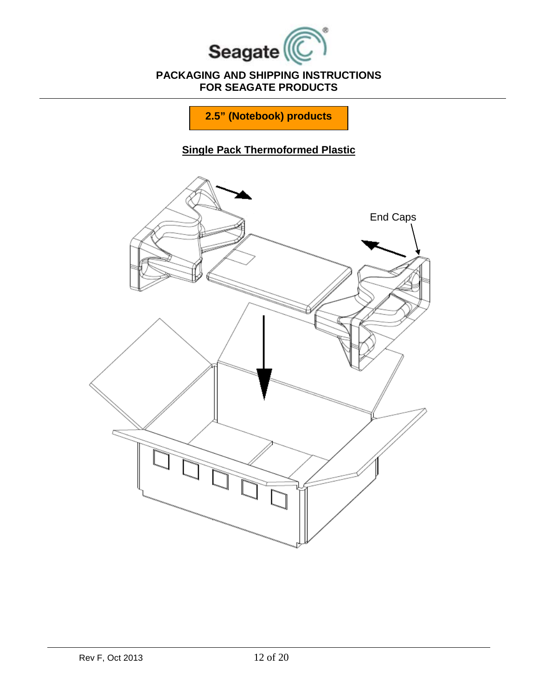

**2.5" (Notebook) products** 

# **Single Pack Thermoformed Plastic**

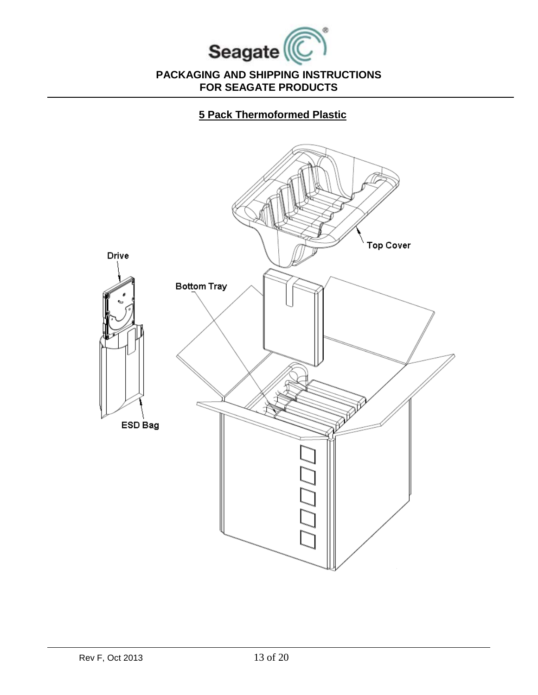

**5 Pack Thermoformed Plastic**

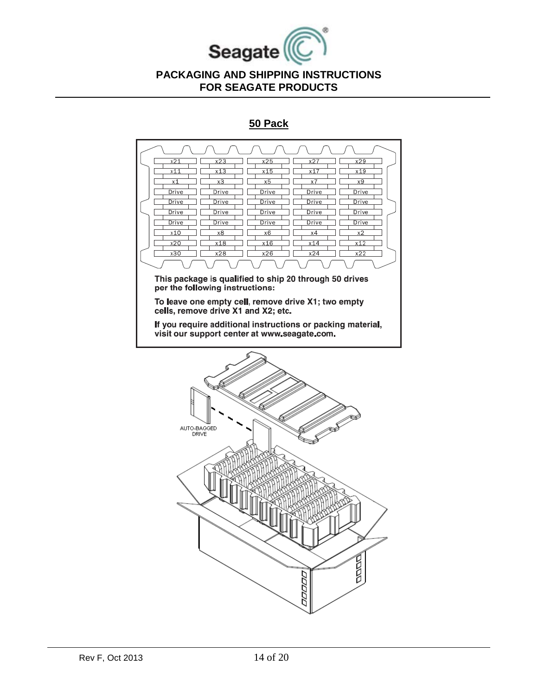

## **50 Pack**

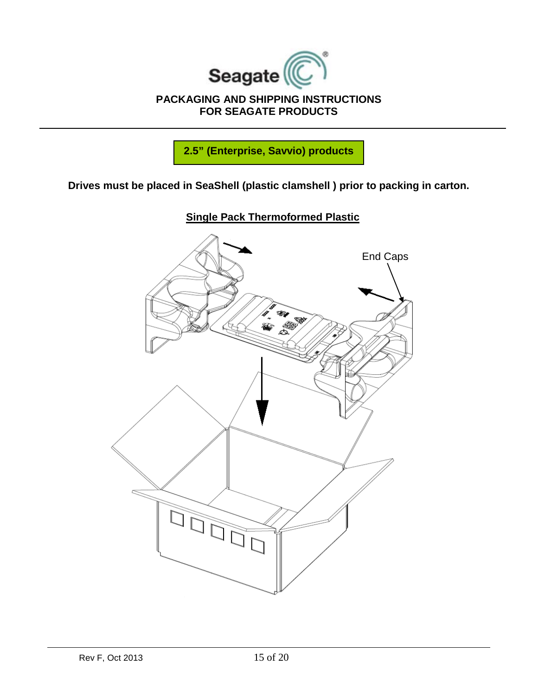

**2.5" (Enterprise, Savvio) products** 

**Drives must be placed in SeaShell (plastic clamshell ) prior to packing in carton.**



**Single Pack Thermoformed Plastic**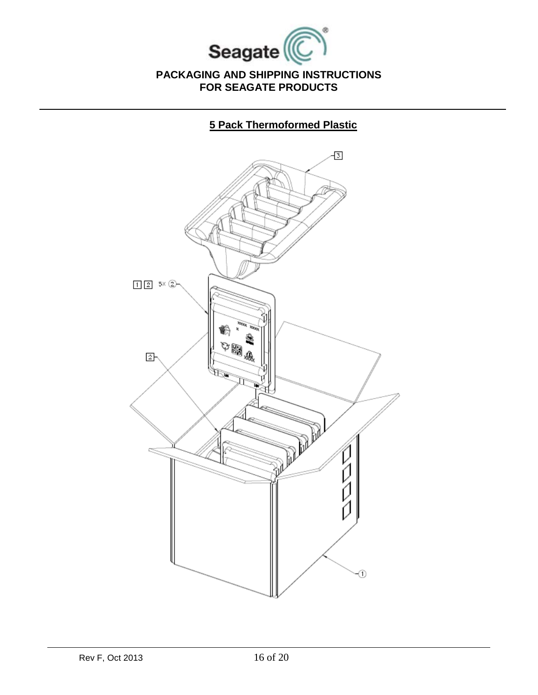

# **5 Pack Thermoformed Plastic**

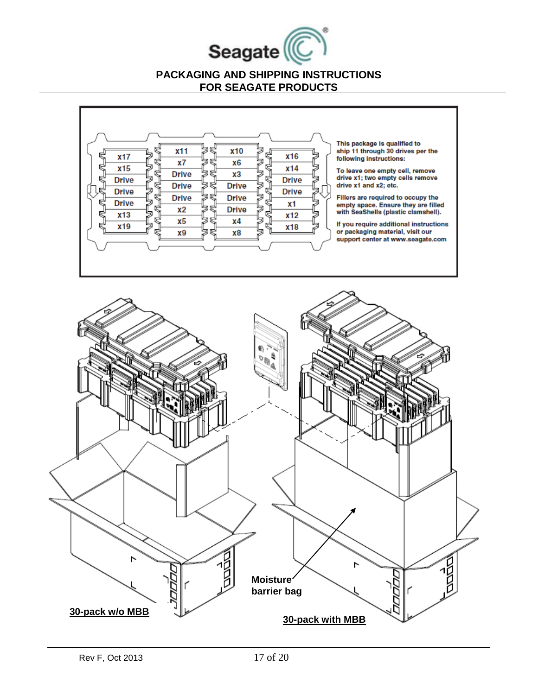



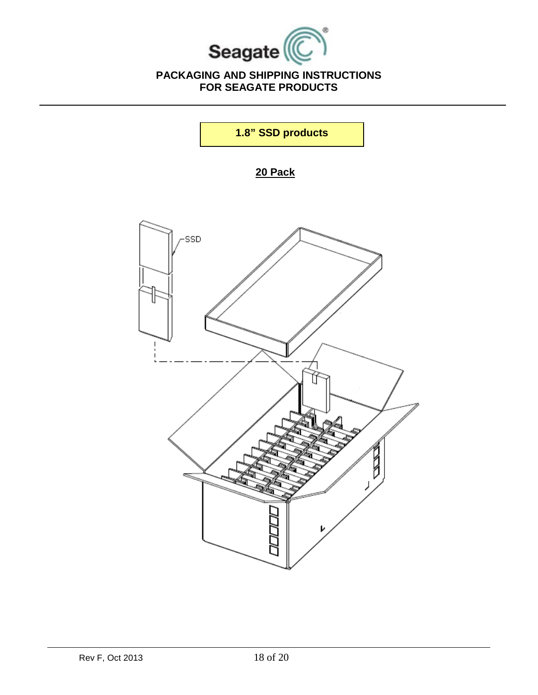

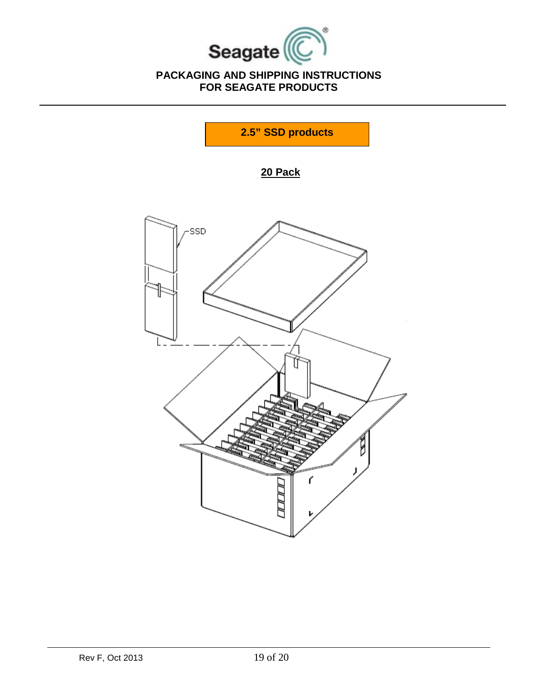